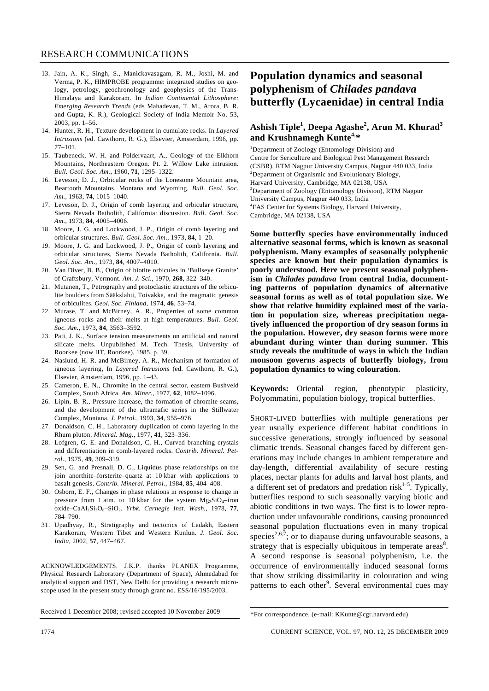- 13. Jain, A. K., Singh, S., Manickavasagam, R. M., Joshi, M. and Verma, P. K., HIMPROBE programme: integrated studies on geology, petrology, geochronology and geophysics of the Trans-Himalaya and Karakoram. In *Indian Continental Lithosphere: Emerging Research Trends* (eds Mahadevan, T. M., Arora, B. R. and Gupta, K. R.), Geological Society of India Memoir No. 53, 2003, pp. 1–56.
- 14. Hunter, R. H., Texture development in cumulate rocks. In *Layered Intrusions* (ed. Cawthorn, R. G.), Elsevier, Amsterdam, 1996, pp. 77–101.
- 15. Taubeneck, W. H. and Poldervaart, A., Geology of the Elkhorn Mountains, Northeastern Oregon. Pt. 2. Willow Lake intrusion. *Bull. Geol. Soc. Am.*, 1960, **71**, 1295–1322.
- 16. Leveson, D. J., Orbicular rocks of the Lonesome Mountain area, Beartooth Mountains, Montana and Wyoming. *Bull. Geol. Soc. Am.*, 1963, **74**, 1015–1040.
- 17. Leveson, D. J., Origin of comb layering and orbicular structure, Sierra Nevada Batholith, California: discussion. *Bull. Geol. Soc. Am.*, 1973, **84**, 4005–4006.
- 18. Moore, J. G. and Lockwood, J. P., Origin of comb layering and orbicular structures. *Bull. Geol. Soc. Am*., 1973, **84**, 1–20.
- 19. Moore, J. G. and Lockwood, J. P., Origin of comb layering and orbicular structures, Sierra Nevada Batholith*,* California. *Bull. Geol. Soc. Am*., 1973, **84**, 4007–4010.
- 20. Van Diver, B. B., Origin of biotite orbicules in 'Bullseye Granite' of Craftsbury, Vermont. *Am. J. Sci.*, 1970, **268**, 322–340.
- 21. Mutanen, T., Petrography and protoclastic structures of the orbiculite boulders from Sääkslahti, Toivakka, and the magmatic genesis of orbiculites. *Geol. Soc. Finland*, 1974, **46**, 53–74.
- 22. Murase, T. and McBirney, A. R., Properties of some common igneous rocks and their melts at high temperatures. *Bull. Geol. Soc. Am.*, 1973, **84**, 3563–3592.
- 23. Pati, J. K., Surface tension measurements on artificial and natural silicate melts. Unpublished M. Tech. Thesis, University of Roorkee (now IIT, Roorkee), 1985, p. 39.
- 24. Naslund, H. R. and McBirney, A. R., Mechanism of formation of igneous layering, In *Layered Intrusions* (ed. Cawthorn, R. G.), Elsevier, Amsterdam, 1996, pp. 1–43.
- 25. Cameron, E. N., Chromite in the central sector, eastern Bushveld Complex, South Africa. *Am. Miner.*, 1977, **62**, 1082–1096.
- 26. Lipin, B. R., Pressure increase, the formation of chromite seams, and the development of the ultramafic series in the Stillwater Complex, Montana. *J. Petrol.*, 1993, **34**, 955–976.
- 27. Donaldson, C. H., Laboratory duplication of comb layering in the Rhum pluton. *Mineral. Mag.*, 1977, **41**, 323–336.
- 28. Lofgren, G. E. and Donaldson, C. H., Curved branching crystals and differentiation in comb-layered rocks. *Contrib. Mineral. Petrol.*, 1975, **49**, 309–319.
- 29. Sen, G. and Presnall, D. C., Liquidus phase relationships on the join anorthite–forsterite–quartz at 10 kbar with applications to basalt genesis. *Contrib. Mineral. Petrol.*, 1984, **85**, 404–408.
- 30. Osborn, E. F., Changes in phase relations in response to change in pressure from 1 atm. to 10 kbar for the system  $Mg_2SiO_4$ -iron oxide–CaAl<sub>2</sub>Si<sub>3</sub>O<sub>8</sub>–SiO<sub>2</sub>. *Yrbk. Carnegie Inst. Wash.*, 1978, 77, 784–790.
- 31. Upadhyay, R., Stratigraphy and tectonics of Ladakh, Eastern Karakoram, Western Tibet and Western Kunlun. *J. Geol. Soc. India*, 2002, **57**, 447–467.

ACKNOWLEDGEMENTS. J.K.P. thanks PLANEX Programme, Physical Research Laboratory (Department of Space), Ahmedabad for analytical support and DST, New Delhi for providing a research microscope used in the present study through grant no. ESS/16/195/2003.

Received 1 December 2008; revised accepted 10 November 2009

## **Population dynamics and seasonal polyphenism of** *Chilades pandava* **butterfly (Lycaenidae) in central India**

## **Ashish Tiple<sup>1</sup> , Deepa Agashe<sup>2</sup> , Arun M. Khurad<sup>3</sup> and Krushnamegh Kunte4,\***

<sup>1</sup>Department of Zoology (Entomology Division) and Centre for Sericulture and Biological Pest Management Research (CSBR), RTM Nagpur University Campus, Nagpur 440 033, India <sup>2</sup>Department of Organismic and Evolutionary Biology, Harvard University, Cambridge, MA 02138, USA <sup>3</sup>Department of Zoology (Entomology Division), RTM Nagpur University Campus, Nagpur 440 033, India 4 FAS Center for Systems Biology, Harvard University, Cambridge, MA 02138, USA

**Some butterfly species have environmentally induced alternative seasonal forms, which is known as seasonal polyphenism. Many examples of seasonally polyphenic species are known but their population dynamics is poorly understood. Here we present seasonal polyphenism in** *Chilades pandava* **from central India, documenting patterns of population dynamics of alternative seasonal forms as well as of total population size. We show that relative humidity explained most of the variation in population size, whereas precipitation negatively influenced the proportion of dry season forms in the population. However, dry season forms were more abundant during winter than during summer. This study reveals the multitude of ways in which the Indian monsoon governs aspects of butterfly biology, from population dynamics to wing colouration.** 

**Keywords:** Oriental region, phenotypic plasticity, Polyommatini, population biology, tropical butterflies.

SHORT-LIVED butterflies with multiple generations per year usually experience different habitat conditions in successive generations, strongly influenced by seasonal climatic trends. Seasonal changes faced by different generations may include changes in ambient temperature and day-length, differential availability of secure resting places, nectar plants for adults and larval host plants, and a different set of predators and predation risk<sup>1–5</sup>. Typically, butterflies respond to such seasonally varying biotic and abiotic conditions in two ways. The first is to lower reproduction under unfavourable conditions, causing pronounced seasonal population fluctuations even in many tropical species<sup>2,6,7</sup>; or to diapause during unfavourable seasons, a strategy that is especially ubiquitous in temperate areas $8$ . A second response is seasonal polyphenism, i.e. the occurrence of environmentally induced seasonal forms that show striking dissimilarity in colouration and wing patterns to each other<sup>9</sup>. Several environmental cues may

<sup>\*</sup>For correspondence. (e-mail: KKunte@cgr.harvard.edu)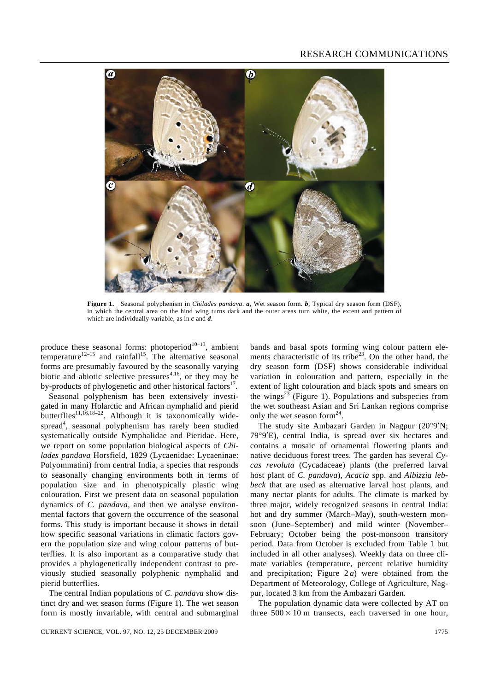

**Figure 1.** Seasonal polyphenism in *Chilades pandava*. *a*, Wet season form. *b*, Typical dry season form (DSF), in which the central area on the hind wing turns dark and the outer areas turn white, the extent and pattern of which are individually variable, as in *c* and *d*.

produce these seasonal forms: photoperiod $10-13$ , ambient temperature<sup>12–15</sup> and rainfall<sup>15</sup>. The alternative seasonal forms are presumably favoured by the seasonally varying biotic and abiotic selective pressures<sup> $4,16$ </sup>, or they may be by-products of phylogenetic and other historical factors<sup>17</sup>.

 Seasonal polyphenism has been extensively investigated in many Holarctic and African nymphalid and pierid butterflies<sup>11,16,18–22</sup>. Although it is taxonomically widespread<sup>4</sup>, seasonal polyphenism has rarely been studied systematically outside Nymphalidae and Pieridae. Here, we report on some population biological aspects of *Chilades pandava* Horsfield, 1829 (Lycaenidae: Lycaeninae: Polyommatini) from central India, a species that responds to seasonally changing environments both in terms of population size and in phenotypically plastic wing colouration. First we present data on seasonal population dynamics of *C. pandava*, and then we analyse environmental factors that govern the occurrence of the seasonal forms. This study is important because it shows in detail how specific seasonal variations in climatic factors govern the population size and wing colour patterns of butterflies. It is also important as a comparative study that provides a phylogenetically independent contrast to previously studied seasonally polyphenic nymphalid and pierid butterflies.

 The central Indian populations of *C. pandava* show distinct dry and wet season forms (Figure 1). The wet season form is mostly invariable, with central and submarginal

CURRENT SCIENCE, VOL. 97, NO. 12, 25 DECEMBER 2009 1775

bands and basal spots forming wing colour pattern elements characteristic of its tribe<sup>23</sup>. On the other hand, the dry season form (DSF) shows considerable individual variation in colouration and pattern, especially in the extent of light colouration and black spots and smears on the wings $^{23}$  (Figure 1). Populations and subspecies from the wet southeast Asian and Sri Lankan regions comprise only the wet season form<sup>24</sup>.

 The study site Ambazari Garden in Nagpur (20°9′N; 79°9′E), central India, is spread over six hectares and contains a mosaic of ornamental flowering plants and native deciduous forest trees. The garden has several *Cycas revoluta* (Cycadaceae) plants (the preferred larval host plant of *C. pandava*), *Acacia* spp. and *Albizzia lebbeck* that are used as alternative larval host plants, and many nectar plants for adults. The climate is marked by three major, widely recognized seasons in central India: hot and dry summer (March–May), south-western monsoon (June–September) and mild winter (November– February; October being the post-monsoon transitory period. Data from October is excluded from Table 1 but included in all other analyses). Weekly data on three climate variables (temperature, percent relative humidity and precipitation; Figure 2 *a*) were obtained from the Department of Meteorology, College of Agriculture, Nagpur, located 3 km from the Ambazari Garden.

 The population dynamic data were collected by AT on three  $500 \times 10$  m transects, each traversed in one hour,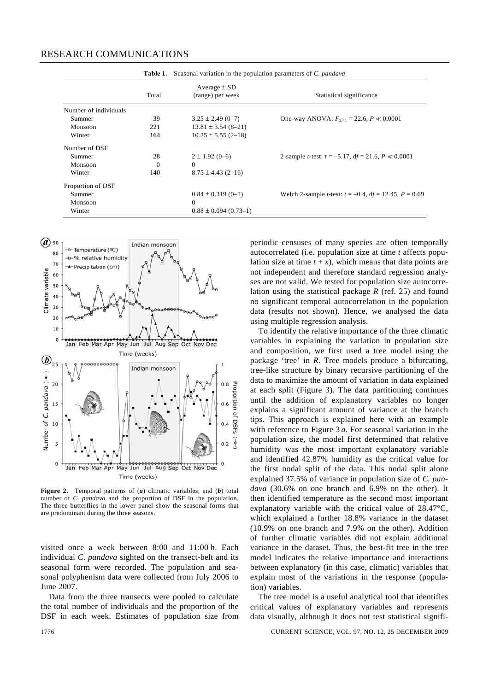|                       | Table 1. | Seasonal variation in the population parameters of C. pandava |                                                                       |
|-----------------------|----------|---------------------------------------------------------------|-----------------------------------------------------------------------|
|                       | Total    | Average $\pm$ SD<br>(range) per week                          | Statistical significance                                              |
| Number of individuals |          |                                                               |                                                                       |
| Summer                | 39       | $3.25 \pm 2.49$ (0-7)                                         | One-way ANOVA: $F_{2,41} = 22.6$ , $P \ll 0.0001$                     |
| Monsoon               | 221      | $13.81 \pm 3.54$ (8-21)                                       |                                                                       |
| Winter                | 164      | $10.25 \pm 5.55$ (2-18)                                       |                                                                       |
| Number of DSF         |          |                                                               |                                                                       |
| Summer                | 28       | $2 \pm 1.92(0-6)$                                             | 2-sample <i>t</i> -test: $t = -5.17$ , $df = 21.6$ , $P \ll 0.0001$   |
| Monsoon               | $\Omega$ | $\Omega$                                                      |                                                                       |
| Winter                | 140      | $8.75 \pm 4.43$ (2-16)                                        |                                                                       |
| Proportion of DSF     |          |                                                               |                                                                       |
| Summer                |          | $0.84 \pm 0.319(0-1)$                                         | Welch 2-sample <i>t</i> -test: $t = -0.4$ , $df = 12.45$ , $P = 0.69$ |
| Monsoon               |          | $\Omega$                                                      |                                                                       |
| Winter                |          | $0.88 \pm 0.094$ (0.73-1)                                     |                                                                       |



Figure 2. Temporal patterns of (*a*) climatic variables, and (*b*) total number of *C. pandava* and the proportion of DSF in the population. The three butterflies in the lower panel show the seasonal forms that are predominant during the three seasons.

visited once a week between 8:00 and 11:00 h. Each individual *C. pandava* sighted on the transect-belt and its seasonal form were recorded. The population and seasonal polyphenism data were collected from July 2006 to June 2007.

Data from the three transects were pooled to calculate the total number of individuals and the proportion of the DSF in each week. Estimates of population size from periodic censuses of many species are often temporally autocorrelated (i.e. population size at time *t* affects population size at time  $t + x$ ), which means that data points are not independent and therefore standard regression analyses are not valid. We tested for population size autocorrelation using the statistical package *R* (ref. 25) and found no significant temporal autocorrelation in the population data (results not shown). Hence, we analysed the data using multiple regression analysis.

 To identify the relative importance of the three climatic variables in explaining the variation in population size and composition, we first used a tree model using the package 'tree' in *R*. Tree models produce a bifurcating, tree-like structure by binary recursive partitioning of the data to maximize the amount of variation in data explained at each split (Figure 3). The data partitioning continues until the addition of explanatory variables no longer explains a significant amount of variance at the branch tips. This approach is explained here with an example with reference to Figure 3 *a*. For seasonal variation in the population size, the model first determined that relative humidity was the most important explanatory variable and identified 42.87% humidity as the critical value for the first nodal split of the data. This nodal split alone explained 37.5% of variance in population size of *C. pandava* (30.6% on one branch and 6.9% on the other). It then identified temperature as the second most important explanatory variable with the critical value of 28.47°C, which explained a further 18.8% variance in the dataset (10.9% on one branch and 7.9% on the other). Addition of further climatic variables did not explain additional variance in the dataset. Thus, the best-fit tree in the tree model indicates the relative importance and interactions between explanatory (in this case, climatic) variables that explain most of the variations in the response (population) variables.

 The tree model is a useful analytical tool that identifies critical values of explanatory variables and represents data visually, although it does not test statistical signifi-

1776 CURRENT SCIENCE, VOL. 97, NO. 12, 25 DECEMBER 2009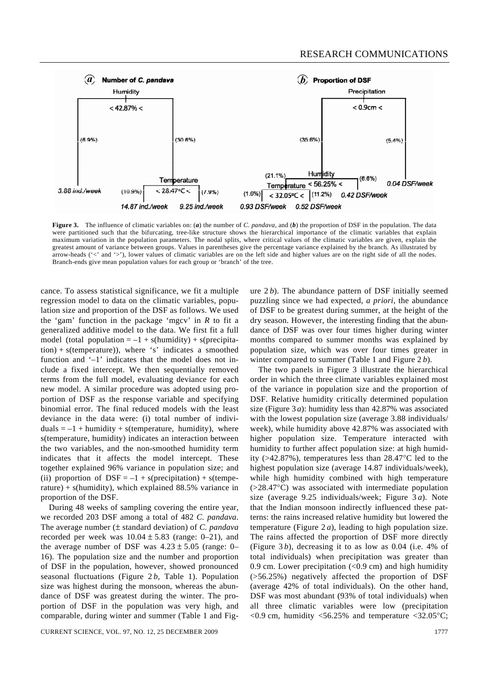

**Figure 3.** The influence of climatic variables on: (*a*) the number of *C. pandava*, and (*b*) the proportion of DSF in the population. The data were partitioned such that the bifurcating, tree-like structure shows the hierarchical importance of the climatic variables that explain maximum variation in the population parameters. The nodal splits, where critical values of the climatic variables are given, explain the greatest amount of variance between groups. Values in parentheses give the percentage variance explained by the branch. As illustrated by arrow-heads ('<' and '>'), lower values of climatic variables are on the left side and higher values are on the right side of all the nodes. Branch-ends give mean population values for each group or 'branch' of the tree.

cance. To assess statistical significance, we fit a multiple regression model to data on the climatic variables, population size and proportion of the DSF as follows. We used the 'gam' function in the package 'mgcv' in *R* to fit a generalized additive model to the data. We first fit a full model (total population  $= -1 + s$ (humidity) + s(precipita $tion$ ) + s(temperature)), where 's' indicates a smoothed function and '–1' indicates that the model does not include a fixed intercept. We then sequentially removed terms from the full model, evaluating deviance for each new model. A similar procedure was adopted using proportion of DSF as the response variable and specifying binomial error. The final reduced models with the least deviance in the data were: (i) total number of individuals  $= -1 +$  humidity + s(temperature, humidity), where s(temperature, humidity) indicates an interaction between the two variables, and the non-smoothed humidity term indicates that it affects the model intercept. These together explained 96% variance in population size; and (ii) proportion of  $DSF = -1 + s(precipitation) + s(tempe$ rature) + s(humidity), which explained  $88.5\%$  variance in proportion of the DSF.

 During 48 weeks of sampling covering the entire year, we recorded 203 DSF among a total of 482 *C. pandava*. The average number (± standard deviation) of *C. pandava*  recorded per week was  $10.04 \pm 5.83$  (range: 0–21), and the average number of DSF was  $4.23 \pm 5.05$  (range: 0– 16). The population size and the number and proportion of DSF in the population, however, showed pronounced seasonal fluctuations (Figure 2 *b*, Table 1). Population size was highest during the monsoon, whereas the abundance of DSF was greatest during the winter. The proportion of DSF in the population was very high, and comparable, during winter and summer (Table 1 and Fig-

CURRENT SCIENCE, VOL. 97, NO. 12, 25 DECEMBER 2009 1777 1797

ure 2 *b*). The abundance pattern of DSF initially seemed puzzling since we had expected, *a priori*, the abundance of DSF to be greatest during summer, at the height of the dry season. However, the interesting finding that the abundance of DSF was over four times higher during winter months compared to summer months was explained by population size, which was over four times greater in winter compared to summer (Table 1 and Figure 2 *b*).

 The two panels in Figure 3 illustrate the hierarchical order in which the three climate variables explained most of the variance in population size and the proportion of DSF. Relative humidity critically determined population size (Figure 3 *a*): humidity less than 42.87% was associated with the lowest population size (average 3.88 individuals/ week), while humidity above 42.87% was associated with higher population size. Temperature interacted with humidity to further affect population size: at high humidity (>42.87%), temperatures less than 28.47°C led to the highest population size (average 14.87 individuals/week), while high humidity combined with high temperature (>28.47°C) was associated with intermediate population size (average 9.25 individuals/week; Figure 3 *a*). Note that the Indian monsoon indirectly influenced these patterns: the rains increased relative humidity but lowered the temperature (Figure 2 *a*), leading to high population size. The rains affected the proportion of DSF more directly (Figure 3 *b*), decreasing it to as low as 0.04 (i.e. 4% of total individuals) when precipitation was greater than 0.9 cm. Lower precipitation  $(< 0.9$  cm) and high humidity (>56.25%) negatively affected the proportion of DSF (average 42% of total individuals). On the other hand, DSF was most abundant (93% of total individuals) when all three climatic variables were low (precipitation  $<$ 0.9 cm, humidity  $<$ 56.25% and temperature  $<$ 32.05°C;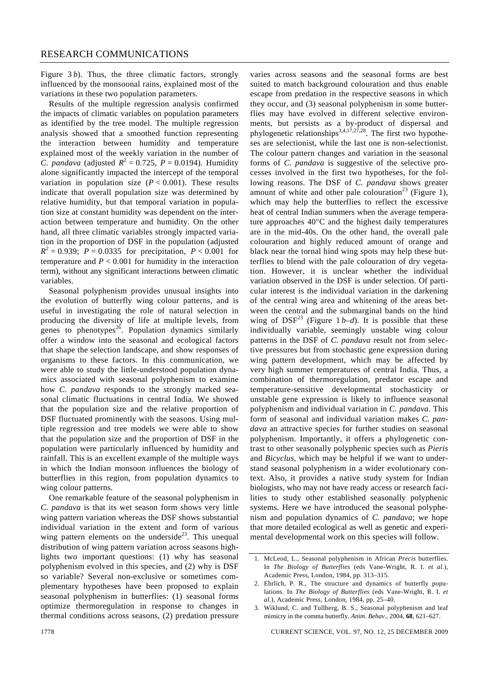Figure 3*b*). Thus, the three climatic factors, strongly influenced by the monsoonal rains, explained most of the variations in these two population parameters.

 Results of the multiple regression analysis confirmed the impacts of climatic variables on population parameters as identified by the tree model. The multiple regression analysis showed that a smoothed function representing the interaction between humidity and temperature explained most of the weekly variation in the number of *C. pandava* (adjusted  $R^2 = 0.725$ ,  $P = 0.0194$ ). Humidity alone significantly impacted the intercept of the temporal variation in population size  $(P < 0.001)$ . These results indicate that overall population size was determined by relative humidity, but that temporal variation in population size at constant humidity was dependent on the interaction between temperature and humidity. On the other hand, all three climatic variables strongly impacted variation in the proportion of DSF in the population (adjusted  $R^2 = 0.939$ ; *P* = 0.0335 for precipitation, *P* < 0.001 for temperature and  $P < 0.001$  for humidity in the interaction term), without any significant interactions between climatic variables.

 Seasonal polyphenism provides unusual insights into the evolution of butterfly wing colour patterns, and is useful in investigating the role of natural selection in producing the diversity of life at multiple levels, from genes to phenotypes<sup>26</sup>. Population dynamics similarly offer a window into the seasonal and ecological factors that shape the selection landscape, and show responses of organisms to these factors. In this communication, we were able to study the little-understood population dynamics associated with seasonal polyphenism to examine how *C. pandava* responds to the strongly marked seasonal climatic fluctuations in central India. We showed that the population size and the relative proportion of DSF fluctuated prominently with the seasons. Using multiple regression and tree models we were able to show that the population size and the proportion of DSF in the population were particularly influenced by humidity and rainfall. This is an excellent example of the multiple ways in which the Indian monsoon influences the biology of butterflies in this region, from population dynamics to wing colour patterns.

 One remarkable feature of the seasonal polyphenism in *C. pandava* is that its wet season form shows very little wing pattern variation whereas the DSF shows substantial individual variation in the extent and form of various wing pattern elements on the underside<sup>23</sup>. This unequal distribution of wing pattern variation across seasons highlights two important questions: (1) why has seasonal polyphenism evolved in this species, and (2) why is DSF so variable? Several non-exclusive or sometimes complementary hypotheses have been proposed to explain seasonal polyphenism in butterflies: (1) seasonal forms optimize thermoregulation in response to changes in thermal conditions across seasons, (2) predation pressure varies across seasons and the seasonal forms are best suited to match background colouration and thus enable escape from predation in the respective seasons in which they occur, and (3) seasonal polyphenism in some butterflies may have evolved in different selective environments, but persists as a by-product of dispersal and phylogenetic relationships<sup>3,4,17,27,28</sup>. The first two hypotheses are selectionist, while the last one is non-selectionist. The colour pattern changes and variation in the seasonal forms of *C. pandava* is suggestive of the selective processes involved in the first two hypotheses, for the following reasons. The DSF of *C. pandava* shows greater amount of white and other pale colouration<sup>23</sup> (Figure 1), which may help the butterflies to reflect the excessive heat of central Indian summers when the average temperature approaches 40°C and the highest daily temperatures are in the mid-40s. On the other hand, the overall pale colouration and highly reduced amount of orange and black near the tornal hind wing spots may help these butterflies to blend with the pale colouration of dry vegetation. However, it is unclear whether the individual variation observed in the DSF is under selection. Of particular interest is the individual variation in the darkening of the central wing area and whitening of the areas between the central and the submarginal bands on the hind wing of  $DSF<sup>23</sup>$  (Figure 1*b–d*). It is possible that these individually variable, seemingly unstable wing colour patterns in the DSF of *C. pandava* result not from selective pressures but from stochastic gene expression during wing pattern development, which may be affected by very high summer temperatures of central India. Thus, a combination of thermoregulation, predator escape and temperature-sensitive developmental stochasticity or unstable gene expression is likely to influence seasonal polyphenism and individual variation in *C. pandava*. This form of seasonal and individual variation makes *C. pandava* an attractive species for further studies on seasonal polyphenism. Importantly, it offers a phylogenetic contrast to other seasonally polyphenic species such as *Pieris*  and *Bicyclus*, which may be helpful if we want to understand seasonal polyphenism in a wider evolutionary context. Also, it provides a native study system for Indian biologists, who may not have ready access or research facilities to study other established seasonally polyphenic systems. Here we have introduced the seasonal polyphenism and population dynamics of *C. pandava*; we hope that more detailed ecological as well as genetic and experimental developmental work on this species will follow.

1778 CURRENT SCIENCE, VOL. 97, NO. 12, 25 DECEMBER 2009

<sup>1.</sup> McLeod, L., Seasonal polyphenism in African *Precis* butterflies. In *The Biology of Butterflies* (eds Vane-Wright, R. I. *et al*.), Academic Press, London, 1984, pp. 313–315.

<sup>2.</sup> Ehrlich, P. R., The structure and dynamics of butterfly populations. In *The Biology of Butterflies* (eds Vane-Wright, R. I. *et al.*), Academic Press, London, 1984, pp. 25–40.

<sup>3.</sup> Wiklund, C. and Tullberg, B. S., Seasonal polyphenism and leaf mimicry in the comma butterfly. *Anim. Behav.*, 2004, **68**, 621–627.